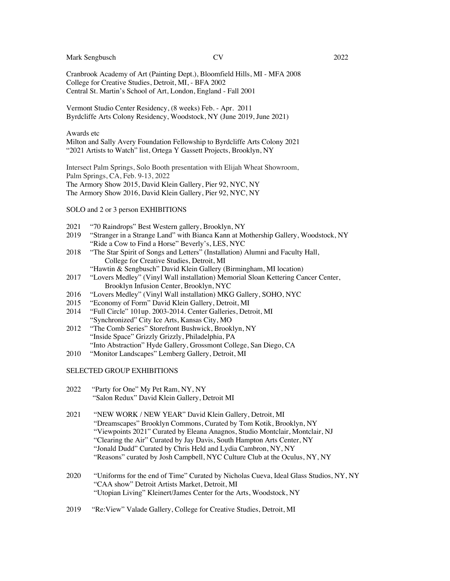Mark Sengbusch **CV** CV 2022

Cranbrook Academy of Art (Painting Dept.), Bloomfield Hills, MI - MFA 2008 College for Creative Studies, Detroit, MI, - BFA 2002 Central St. Martin's School of Art, London, England - Fall 2001

Vermont Studio Center Residency, (8 weeks) Feb. - Apr. 2011 Byrdcliffe Arts Colony Residency, Woodstock, NY (June 2019, June 2021)

Awards etc

Milton and Sally Avery Foundation Fellowship to Byrdcliffe Arts Colony 2021 "2021 Artists to Watch" list, Ortega Y Gassett Projects, Brooklyn, NY

Intersect Palm Springs, Solo Booth presentation with Elijah Wheat Showroom, Palm Springs, CA, Feb. 9-13, 2022 The Armory Show 2015, David Klein Gallery, Pier 92, NYC, NY The Armory Show 2016, David Klein Gallery, Pier 92, NYC, NY

SOLO and 2 or 3 person EXHIBITIONS

- 2021 "70 Raindrops" Best Western gallery, Brooklyn, NY
- 2019 "Stranger in a Strange Land" with Bianca Kann at Mothership Gallery, Woodstock, NY "Ride a Cow to Find a Horse" Beverly's, LES, NYC
- 2018 "The Star Spirit of Songs and Letters" (Installation) Alumni and Faculty Hall, College for Creative Studies, Detroit, MI
	- "Hawtin & Sengbusch" David Klein Gallery (Birmingham, MI location)
- 2017 "Lovers Medley" (Vinyl Wall installation) Memorial Sloan Kettering Cancer Center, Brooklyn Infusion Center, Brooklyn, NYC
- 2016 "Lovers Medley" (Vinyl Wall installation) MKG Gallery, SOHO, NYC
- 2015 "Economy of Form" David Klein Gallery, Detroit, MI
- 2014 "Full Circle" 101up. 2003-2014. Center Galleries, Detroit, MI "Synchronized" City Ice Arts, Kansas City, MO
- 2012 "The Comb Series" Storefront Bushwick, Brooklyn, NY "Inside Space" Grizzly Grizzly, Philadelphia, PA "Into Abstraction" Hyde Gallery, Grossmont College, San Diego, CA
- 2010 "Monitor Landscapes" Lemberg Gallery, Detroit, MI

## SELECTED GROUP EXHIBITIONS

- 2022 "Party for One" My Pet Ram, NY, NY "Salon Redux" David Klein Gallery, Detroit MI
- 2021 "NEW WORK / NEW YEAR" David Klein Gallery, Detroit, MI "Dreamscapes" Brooklyn Commons, Curated by Tom Kotik, Brooklyn, NY "Viewpoints 2021" Curated by Eleana Anagnos, Studio Montclair, Montclair, NJ "Clearing the Air" Curated by Jay Davis, South Hampton Arts Center, NY "Jonald Dudd" Curated by Chris Held and Lydia Cambron, NY, NY "Reasons" curated by Josh Campbell, NYC Culture Club at the Oculus, NY, NY
- 2020 "Uniforms for the end of Time" Curated by Nicholas Cueva, Ideal Glass Studios, NY, NY "CAA show" Detroit Artists Market, Detroit, MI "Utopian Living" Kleinert/James Center for the Arts, Woodstock, NY
- 2019 "Re:View" Valade Gallery, College for Creative Studies, Detroit, MI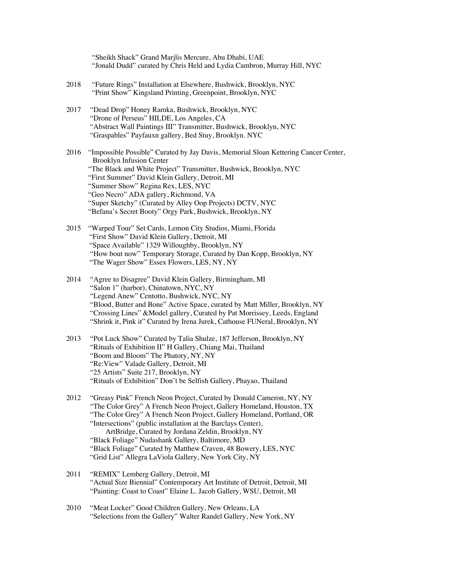"Sheikh Shack" Grand Marjlis Mercure, Abu Dhabi, UAE "Jonald Dudd" curated by Chris Held and Lydia Cambron, Murray Hill, NYC

- 2018 "Future Rings" Installation at Elsewhere, Bushwick, Brooklyn, NYC "Print Show" Kingsland Printing, Greenpoint, Brooklyn, NYC
- 2017 "Dead Drop" Honey Ramka, Bushwick, Brooklyn, NYC "Drone of Perseus" HILDE, Los Angeles, CA "Abstract Wall Paintings III" Transmitter, Bushwick, Brooklyn, NYC "Graspables" Payfauxn gallery, Bed Stuy, Brooklyn. NYC
- 2016 "Impossible Possible" Curated by Jay Davis, Memorial Sloan Kettering Cancer Center, Brooklyn Infusion Center "The Black and White Project" Transmitter, Bushwick, Brooklyn, NYC "First Summer" David Klein Gallery, Detroit, MI "Summer Show" Regina Rex, LES, NYC "Geo Necro" ADA gallery, Richmond, VA "Super Sketchy" (Curated by Alley Oop Projects) DCTV, NYC "Befana's Secret Booty" Orgy Park, Bushwick, Brooklyn, NY
- 2015 "Warped Tour" Set Cards, Lemon City Studios, Miami, Florida "First Show" David Klein Gallery, Detroit, MI "Space Available" 1329 Willoughby, Brooklyn, NY "How bout now" Temporary Storage, Curated by Dan Kopp, Brooklyn, NY "The Wager Show" Essex Flowers, LES, NY, NY
- 2014 "Agree to Disagree" David Klein Gallery, Birmingham, MI "Salon 1" (harbor), Chinatown, NYC, NY "Legend Anew" Centotto, Bushwick, NYC, NY "Blood, Butter and Bone" Active Space, curated by Matt Miller, Brooklyn, NY "Crossing Lines" &Model gallery, Curated by Pat Morrissey, Leeds, England "Shrink it, Pink it" Curated by Irena Jurek, Cathouse FUNeral, Brooklyn, NY
- 2013 "Pot Luck Show" Curated by Talia Shulze, 187 Jefferson, Brooklyn, NY "Rituals of Exhibition II" H Gallery, Chiang Mai, Thailand "Boom and Bloom" The Phatory, NY, NY "Re:View" Valade Gallery, Detroit, MI "25 Artists" Suite 217, Brooklyn, NY "Rituals of Exhibition" Don't be Selfish Gallery, Phayao, Thailand
- 2012 "Greasy Pink" French Neon Project, Curated by Donald Cameron, NY, NY "The Color Grey" A French Neon Project, Gallery Homeland, Houston, TX "The Color Grey" A French Neon Project, Gallery Homeland, Portland, OR "Intersections" (public installation at the Barclays Center), ArtBridge, Curated by Jordana Zeldin, Brooklyn, NY "Black Foliage" Nudashank Gallery, Baltimore, MD "Black Foliage" Curated by Matthew Craven, 48 Bowery, LES, NYC "Grid List" Allegra LaViola Gallery, New York City, NY
- 2011 "REMIX" Lemberg Gallery, Detroit, MI "Actual Size Biennial" Contemporary Art Institute of Detroit, Detroit, MI "Painting: Coast to Coast" Elaine L. Jacob Gallery, WSU, Detroit, MI
- 2010 "Meat Locker" Good Children Gallery, New Orleans, LA "Selections from the Gallery" Walter Randel Gallery, New York, NY